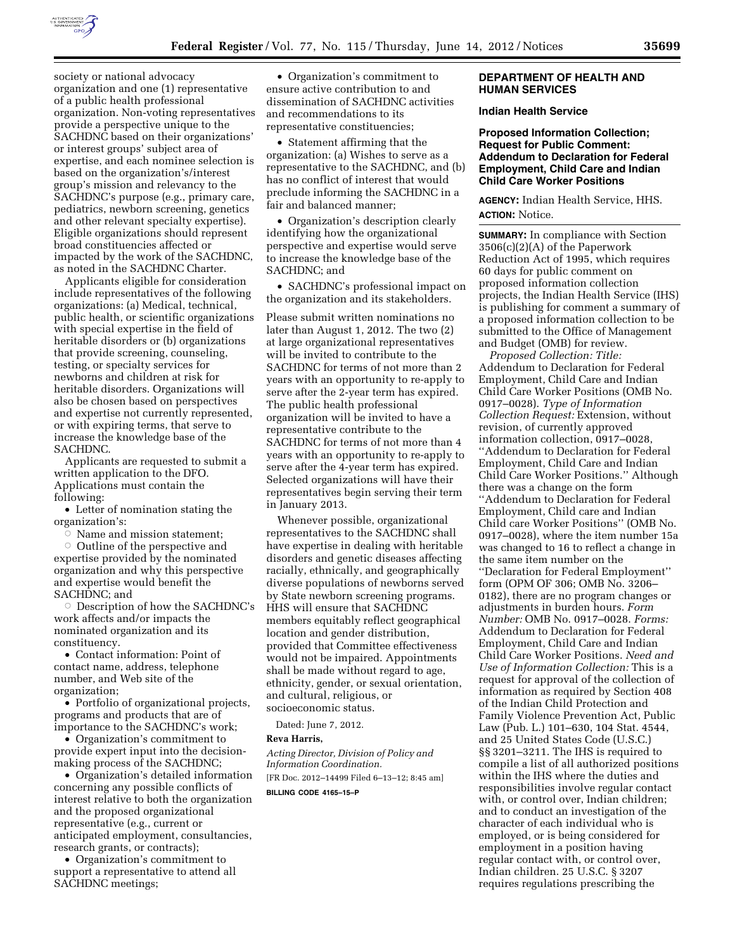

society or national advocacy organization and one (1) representative of a public health professional organization. Non-voting representatives provide a perspective unique to the SACHDNC based on their organizations' or interest groups' subject area of expertise, and each nominee selection is based on the organization's/interest group's mission and relevancy to the SACHDNC's purpose (e.g., primary care, pediatrics, newborn screening, genetics and other relevant specialty expertise). Eligible organizations should represent broad constituencies affected or impacted by the work of the SACHDNC, as noted in the SACHDNC Charter.

Applicants eligible for consideration include representatives of the following organizations: (a) Medical, technical, public health, or scientific organizations with special expertise in the field of heritable disorders or (b) organizations that provide screening, counseling, testing, or specialty services for newborns and children at risk for heritable disorders. Organizations will also be chosen based on perspectives and expertise not currently represented, or with expiring terms, that serve to increase the knowledge base of the SACHDNC.

Applicants are requested to submit a written application to the DFO. Applications must contain the following:

• Letter of nomination stating the organization's:

 $\sim$  Name and mission statement;

 $\circ$  Outline of the perspective and expertise provided by the nominated organization and why this perspective and expertise would benefit the SACHDNC; and

Description of how the SACHDNC's work affects and/or impacts the nominated organization and its constituency.

• Contact information: Point of contact name, address, telephone number, and Web site of the organization;

• Portfolio of organizational projects, programs and products that are of importance to the SACHDNC's work;

• Organization's commitment to provide expert input into the decisionmaking process of the SACHDNC;

• Organization's detailed information concerning any possible conflicts of interest relative to both the organization and the proposed organizational representative (e.g., current or anticipated employment, consultancies, research grants, or contracts);

• Organization's commitment to support a representative to attend all SACHDNC meetings;

• Organization's commitment to ensure active contribution to and dissemination of SACHDNC activities and recommendations to its representative constituencies;

• Statement affirming that the organization: (a) Wishes to serve as a representative to the SACHDNC, and (b) has no conflict of interest that would preclude informing the SACHDNC in a fair and balanced manner;

• Organization's description clearly identifying how the organizational perspective and expertise would serve to increase the knowledge base of the SACHDNC; and

• SACHDNC's professional impact on the organization and its stakeholders.

Please submit written nominations no later than August 1, 2012. The two (2) at large organizational representatives will be invited to contribute to the SACHDNC for terms of not more than 2 years with an opportunity to re-apply to serve after the 2-year term has expired. The public health professional organization will be invited to have a representative contribute to the SACHDNC for terms of not more than 4 years with an opportunity to re-apply to serve after the 4-year term has expired. Selected organizations will have their representatives begin serving their term in January 2013.

Whenever possible, organizational representatives to the SACHDNC shall have expertise in dealing with heritable disorders and genetic diseases affecting racially, ethnically, and geographically diverse populations of newborns served by State newborn screening programs. HHS will ensure that SACHDNC members equitably reflect geographical location and gender distribution, provided that Committee effectiveness would not be impaired. Appointments shall be made without regard to age, ethnicity, gender, or sexual orientation, and cultural, religious, or socioeconomic status.

Dated: June 7, 2012.

#### **Reva Harris,**

*Acting Director, Division of Policy and Information Coordination.* 

[FR Doc. 2012–14499 Filed 6–13–12; 8:45 am] **BILLING CODE 4165–15–P** 

### **DEPARTMENT OF HEALTH AND HUMAN SERVICES**

#### **Indian Health Service**

**Proposed Information Collection; Request for Public Comment: Addendum to Declaration for Federal Employment, Child Care and Indian Child Care Worker Positions** 

**AGENCY:** Indian Health Service, HHS. **ACTION:** Notice.

**SUMMARY:** In compliance with Section 3506(c)(2)(A) of the Paperwork Reduction Act of 1995, which requires 60 days for public comment on proposed information collection projects, the Indian Health Service (IHS) is publishing for comment a summary of a proposed information collection to be submitted to the Office of Management and Budget (OMB) for review.

*Proposed Collection: Title:*  Addendum to Declaration for Federal Employment, Child Care and Indian Child Care Worker Positions (OMB No. 0917–0028). *Type of Information Collection Request:* Extension, without revision, of currently approved information collection, 0917–0028, ''Addendum to Declaration for Federal Employment, Child Care and Indian Child Care Worker Positions.'' Although there was a change on the form ''Addendum to Declaration for Federal Employment, Child care and Indian Child care Worker Positions'' (OMB No. 0917–0028), where the item number 15a was changed to 16 to reflect a change in the same item number on the ''Declaration for Federal Employment'' form (OPM OF 306; OMB No. 3206– 0182), there are no program changes or adjustments in burden hours. *Form Number:* OMB No. 0917–0028. *Forms:*  Addendum to Declaration for Federal Employment, Child Care and Indian Child Care Worker Positions. *Need and Use of Information Collection:* This is a request for approval of the collection of information as required by Section 408 of the Indian Child Protection and Family Violence Prevention Act, Public Law (Pub. L.) 101–630, 104 Stat. 4544, and 25 United States Code (U.S.C.) §§ 3201–3211. The IHS is required to compile a list of all authorized positions within the IHS where the duties and responsibilities involve regular contact with, or control over, Indian children; and to conduct an investigation of the character of each individual who is employed, or is being considered for employment in a position having regular contact with, or control over, Indian children. 25 U.S.C. § 3207 requires regulations prescribing the